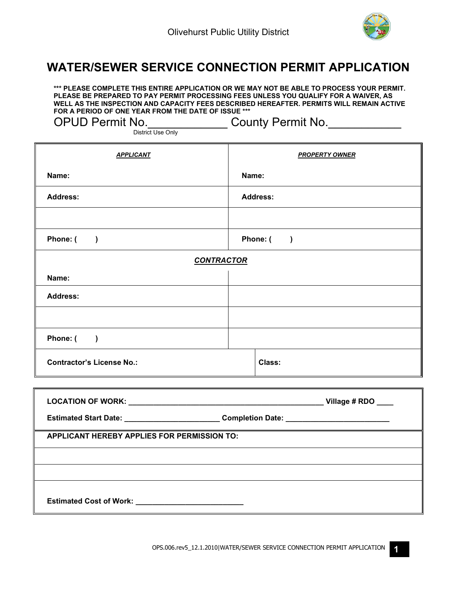

1

## **WATER/SEWER SERVICE CONNECTION PERMIT APPLICATION**

**\*\*\* PLEASE COMPLETE THIS ENTIRE APPLICATION OR WE MAY NOT BE ABLE TO PROCESS YOUR PERMIT. PLEASE BE PREPARED TO PAY PERMIT PROCESSING FEES UNLESS YOU QUALIFY FOR A WAIVER, AS WELL AS THE INSPECTION AND CAPACITY FEES DESCRIBED HEREAFTER. PERMITS WILL REMAIN ACTIVE FOR A PERIOD OF ONE YEAR FROM THE DATE OF ISSUE \*\*\*** 

OPUD Permit No. \_\_\_\_\_\_\_\_\_\_\_\_\_\_\_County Permit No. \_\_\_\_\_\_\_\_\_\_\_\_\_\_\_\_\_\_\_\_\_\_\_\_\_\_\_\_\_\_\_

District Use Only

| <b>APPLICANT</b>                     | <b>PROPERTY OWNER</b>                |  |
|--------------------------------------|--------------------------------------|--|
| Name:                                | Name:                                |  |
| <b>Address:</b>                      | <b>Address:</b>                      |  |
|                                      |                                      |  |
| Phone: (<br>$\rightarrow$            | Phone: (<br>$\overline{\phantom{a}}$ |  |
| <b>CONTRACTOR</b>                    |                                      |  |
| Name:                                |                                      |  |
| <b>Address:</b>                      |                                      |  |
|                                      |                                      |  |
| Phone: (<br>$\overline{\phantom{a}}$ |                                      |  |
| <b>Contractor's License No.:</b>     | Class:                               |  |

|                                                                                   |  | Village # $RDO$ ____ |
|-----------------------------------------------------------------------------------|--|----------------------|
| Estimated Start Date: _____________________________Completion Date: _____________ |  |                      |
| <b>APPLICANT HEREBY APPLIES FOR PERMISSION TO:</b>                                |  |                      |
|                                                                                   |  |                      |
|                                                                                   |  |                      |
|                                                                                   |  |                      |
| Estimated Cost of Work: ______________________________                            |  |                      |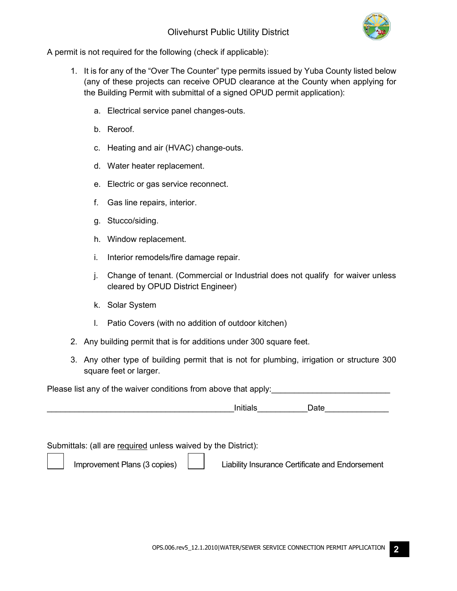

A permit is not required for the following (check if applicable):

- 1. It is for any of the "Over The Counter" type permits issued by Yuba County listed below (any of these projects can receive OPUD clearance at the County when applying for the Building Permit with submittal of a signed OPUD permit application):
	- a. Electrical service panel changes-outs.
	- b. Reroof.
	- c. Heating and air (HVAC) change-outs.
	- d. Water heater replacement.
	- e. Electric or gas service reconnect.
	- f. Gas line repairs, interior.
	- g. Stucco/siding.
	- h. Window replacement.
	- i. Interior remodels/fire damage repair.
	- j. Change of tenant. (Commercial or Industrial does not qualify for waiver unless cleared by OPUD District Engineer)
	- k. Solar System
	- l. Patio Covers (with no addition of outdoor kitchen)
- 2. Any building permit that is for additions under 300 square feet.
- 3. Any other type of building permit that is not for plumbing, irrigation or structure 300 square feet or larger.

Please list any of the waiver conditions from above that apply:

\_\_\_\_\_\_\_\_\_\_\_\_\_\_\_\_\_\_\_\_\_\_\_\_\_\_\_\_\_\_\_\_\_\_\_\_\_\_\_\_\_Initials\_\_\_\_\_\_\_\_\_\_\_Date\_\_\_\_\_\_\_\_\_\_\_\_\_\_

Submittals: (all are required unless waived by the District):

Improvement Plans (3 copies) | | Liability Insurance Certificate and Endorsement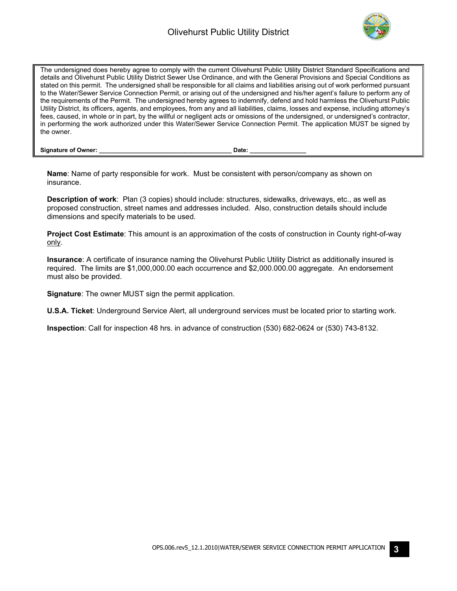

The undersigned does hereby agree to comply with the current Olivehurst Public Utility District Standard Specifications and details and Olivehurst Public Utility District Sewer Use Ordinance, and with the General Provisions and Special Conditions as stated on this permit. The undersigned shall be responsible for all claims and liabilities arising out of work performed pursuant to the Water/Sewer Service Connection Permit, or arising out of the undersigned and his/her agent's failure to perform any of the requirements of the Permit. The undersigned hereby agrees to indemnify, defend and hold harmless the Olivehurst Public Utility District, its officers, agents, and employees, from any and all liabilities, claims, losses and expense, including attorney's fees, caused, in whole or in part, by the willful or negligent acts or omissions of the undersigned, or undersigned's contractor, in performing the work authorized under this Water/Sewer Service Connection Permit. The application MUST be signed by the owner.

**Signature of Owner: \_\_\_\_\_\_\_\_\_\_\_\_\_\_\_\_\_\_\_\_\_\_\_\_\_\_\_\_\_\_\_\_\_\_\_\_\_\_\_\_ Date: \_\_\_\_\_\_\_\_\_\_\_\_\_\_\_\_\_**

**Name**: Name of party responsible for work. Must be consistent with person/company as shown on insurance.

**Description of work**: Plan (3 copies) should include: structures, sidewalks, driveways, etc., as well as proposed construction, street names and addresses included. Also, construction details should include dimensions and specify materials to be used.

**Project Cost Estimate**: This amount is an approximation of the costs of construction in County right-of-way only.

**Insurance**: A certificate of insurance naming the Olivehurst Public Utility District as additionally insured is required. The limits are \$1,000,000.00 each occurrence and \$2,000.000.00 aggregate. An endorsement must also be provided.

**Signature**: The owner MUST sign the permit application.

**U.S.A. Ticket**: Underground Service Alert, all underground services must be located prior to starting work.

**Inspection**: Call for inspection 48 hrs. in advance of construction (530) 682-0624 or (530) 743-8132.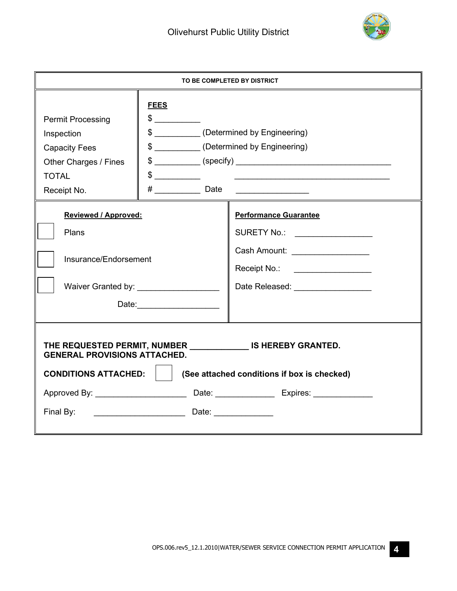

| TO BE COMPLETED BY DISTRICT                                                                                                                                                       |                                                                                                                                                                                                                                                         |                                                                                                                                                                                                                                                                                                                                                                                                                                                                                                                                        |  |  |
|-----------------------------------------------------------------------------------------------------------------------------------------------------------------------------------|---------------------------------------------------------------------------------------------------------------------------------------------------------------------------------------------------------------------------------------------------------|----------------------------------------------------------------------------------------------------------------------------------------------------------------------------------------------------------------------------------------------------------------------------------------------------------------------------------------------------------------------------------------------------------------------------------------------------------------------------------------------------------------------------------------|--|--|
| <b>Permit Processing</b><br>Inspection<br><b>Capacity Fees</b><br>Other Charges / Fines<br><b>TOTAL</b><br>Receipt No.                                                            | <b>FEES</b><br>$\frac{1}{2}$<br>$\frac{1}{2}$<br>$#$ Date                                                                                                                                                                                               | \$ ___________(Determined by Engineering)<br>\$ ___________(Determined by Engineering)<br>$\frac{1}{2}$ $\frac{1}{2}$ $\frac{1}{2}$ $\frac{1}{2}$ $\frac{1}{2}$ $\frac{1}{2}$ $\frac{1}{2}$ $\frac{1}{2}$ $\frac{1}{2}$ $\frac{1}{2}$ $\frac{1}{2}$ $\frac{1}{2}$ $\frac{1}{2}$ $\frac{1}{2}$ $\frac{1}{2}$ $\frac{1}{2}$ $\frac{1}{2}$ $\frac{1}{2}$ $\frac{1}{2}$ $\frac{1}{2}$ $\frac{1}{2}$ $\frac{1}{2}$<br><u> 1989 - Johann Harry Harry Harry Harry Harry Harry Harry Harry Harry Harry Harry Harry Harry Harry Harry Harry</u> |  |  |
| <b>Reviewed / Approved:</b><br>Plans<br>Insurance/Endorsement                                                                                                                     | Waiver Granted by: \\sqrt{\sqrt{\sqrt{\sqrt{\sqrt{\sqrt{\sqrt{\sqrt{\sqrt{\sqrt{\sqrt{\sqrt{\sqrt{\sqrt{\sqrt{\sqrt{\sqrt{\sqrt{\sqrt{\sqrt{\sqrt{\sqrt{\sqrt{\sqrt{\sqrt{\sqrt{\sqrt{\sqrt{\sqrt{\sqrt{\sqrt{\sqrt{\sqrt{\sqr<br>Date: _______________ | <b>Performance Guarantee</b><br>SURETY No.: _________________<br>Cash Amount: _________________<br>Receipt No.: ___________________<br>Date Released: Note that the set of the set of the set of the set of the set of the set of the set of the set o                                                                                                                                                                                                                                                                                 |  |  |
| THE REQUESTED PERMIT, NUMBER IS HEREBY GRANTED.<br><b>GENERAL PROVISIONS ATTACHED.</b><br><b>CONDITIONS ATTACHED:</b><br>(See attached conditions if box is checked)<br>Final By: |                                                                                                                                                                                                                                                         |                                                                                                                                                                                                                                                                                                                                                                                                                                                                                                                                        |  |  |